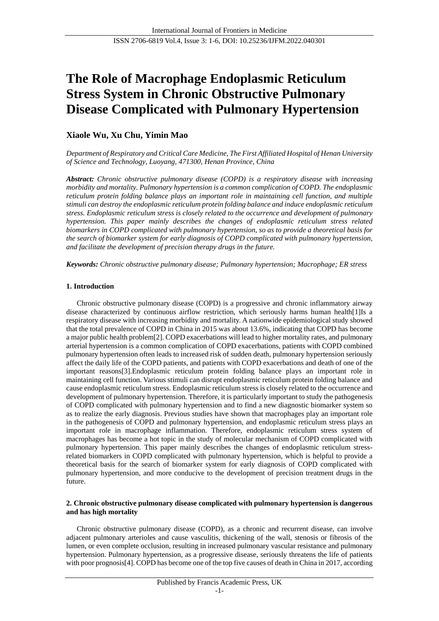# **The Role of Macrophage Endoplasmic Reticulum Stress System in Chronic Obstructive Pulmonary Disease Complicated with Pulmonary Hypertension**

# **Xiaole Wu, Xu Chu, Yimin Mao**

*Department of Respiratory and Critical Care Medicine, The First Affiliated Hospital of Henan University of Science and Technology, Luoyang, 471300, Henan Province, China*

*Abstract: Chronic obstructive pulmonary disease (COPD) is a respiratory disease with increasing morbidity and mortality. Pulmonary hypertension is a common complication of COPD. The endoplasmic reticulum protein folding balance plays an important role in maintaining cell function, and multiple stimuli can destroy the endoplasmic reticulum protein folding balance and induce endoplasmic reticulum stress. Endoplasmic reticulum stress is closely related to the occurrence and development of pulmonary hypertension. This paper mainly describes the changes of endoplasmic reticulum stress related biomarkers in COPD complicated with pulmonary hypertension, so as to provide a theoretical basis for the search of biomarker system for early diagnosis of COPD complicated with pulmonary hypertension, and facilitate the development of precision therapy drugs in the future.*

*Keywords: Chronic obstructive pulmonary disease; Pulmonary hypertension; Macrophage; ER stress*

#### **1. Introduction**

Chronic obstructive pulmonary disease (COPD) is a progressive and chronic inflammatory airway disease characterized by continuous airflow restriction, which seriously harms human health[1]Is a respiratory disease with increasing morbidity and mortality. A nationwide epidemiological study showed that the total prevalence of COPD in China in 2015 was about 13.6%, indicating that COPD has become a major public health problem[2]. COPD exacerbations will lead to higher mortality rates, and pulmonary arterial hypertension is a common complication of COPD exacerbations, patients with COPD combined pulmonary hypertension often leads to increased risk of sudden death, pulmonary hypertension seriously affect the daily life of the COPD patients, and patients with COPD exacerbations and death of one of the important reasons[3].Endoplasmic reticulum protein folding balance plays an important role in maintaining cell function. Various stimuli can disrupt endoplasmic reticulum protein folding balance and cause endoplasmic reticulum stress. Endoplasmic reticulum stress is closely related to the occurrence and development of pulmonary hypertension. Therefore, it is particularly important to study the pathogenesis of COPD complicated with pulmonary hypertension and to find a new diagnostic biomarker system so as to realize the early diagnosis. Previous studies have shown that macrophages play an important role in the pathogenesis of COPD and pulmonary hypertension, and endoplasmic reticulum stress plays an important role in macrophage inflammation. Therefore, endoplasmic reticulum stress system of macrophages has become a hot topic in the study of molecular mechanism of COPD complicated with pulmonary hypertension. This paper mainly describes the changes of endoplasmic reticulum stressrelated biomarkers in COPD complicated with pulmonary hypertension, which is helpful to provide a theoretical basis for the search of biomarker system for early diagnosis of COPD complicated with pulmonary hypertension, and more conducive to the development of precision treatment drugs in the future.

#### **2. Chronic obstructive pulmonary disease complicated with pulmonary hypertension is dangerous and has high mortality**

Chronic obstructive pulmonary disease (COPD), as a chronic and recurrent disease, can involve adjacent pulmonary arterioles and cause vasculitis, thickening of the wall, stenosis or fibrosis of the lumen, or even complete occlusion, resulting in increased pulmonary vascular resistance and pulmonary hypertension. Pulmonary hypertension, as a progressive disease, seriously threatens the life of patients with poor prognosis<sup>[4]</sup>. COPD has become one of the top five causes of death in China in 2017, according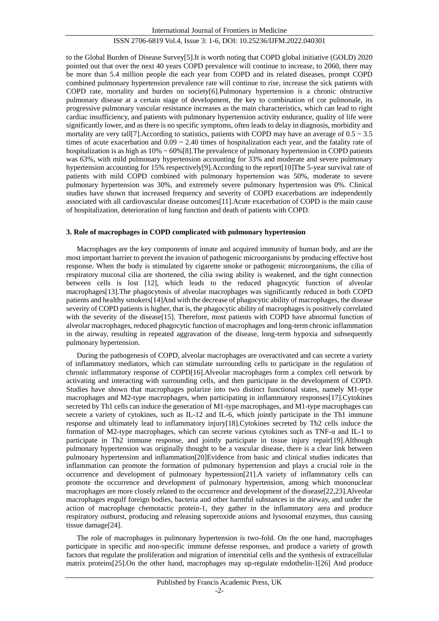to the Global Burden of Disease Survey[5].It is worth noting that COPD global initiative (GOLD) 2020 pointed out that over the next 40 years COPD prevalence will continue to increase, to 2060, there may be more than 5.4 million people die each year from COPD and its related diseases, prompt COPD combined pulmonary hypertension prevalence rate will continue to rise, increase the sick patients with COPD rate, mortality and burden on society[6].Pulmonary hypertension is a chronic obstructive pulmonary disease at a certain stage of development, the key to combination of cor pulmonale, its progressive pulmonary vascular resistance increases as the main characteristics, which can lead to right cardiac insufficiency, and patients with pulmonary hypertension activity endurance, quality of life were significantly lower, and as there is no specific symptoms, often leads to delay in diagnosis, morbidity and mortality are very tall [7]. According to statistics, patients with COPD may have an average of  $0.5 \sim 3.5$ times of acute exacerbation and  $0.09 \sim 2.40$  times of hospitalization each year, and the fatality rate of hospitalization is as high as  $10\% \sim 60\% [8]$ . The prevalence of pulmonary hypertension in COPD patients was 63%, with mild pulmonary hypertension accounting for 33% and moderate and severe pulmonary hypertension accounting for 15% respectively[9].According to the report[10]The 5-year survival rate of patients with mild COPD combined with pulmonary hypertension was 50%, moderate to severe pulmonary hypertension was 30%, and extremely severe pulmonary hypertension was 0%. Clinical studies have shown that increased frequency and severity of COPD exacerbations are independently associated with all cardiovascular disease outcomes[11].Acute exacerbation of COPD is the main cause of hospitalization, deterioration of lung function and death of patients with COPD.

#### **3. Role of macrophages in COPD complicated with pulmonary hypertension**

Macrophages are the key components of innate and acquired immunity of human body, and are the most important barrier to prevent the invasion of pathogenic microorganisms by producing effective host response. When the body is stimulated by cigarette smoke or pathogenic microorganisms, the cilia of respiratory mucosal cilia are shortened, the cilia swing ability is weakened, and the tight connection between cells is lost [12], which leads to the reduced phagocytic function of alveolar macrophages[13].The phagocytosis of alveolar macrophages was significantly reduced in both COPD patients and healthy smokers[14]And with the decrease of phagocytic ability of macrophages, the disease severity of COPD patients is higher, that is, the phagocytic ability of macrophages is positively correlated with the severity of the disease[15]. Therefore, most patients with COPD have abnormal function of alveolar macrophages, reduced phagocytic function of macrophages and long-term chronic inflammation in the airway, resulting in repeated aggravation of the disease, long-term hypoxia and subsequently pulmonary hypertension.

During the pathogenesis of COPD, alveolar macrophages are overactivated and can secrete a variety of inflammatory mediators, which can stimulate surrounding cells to participate in the regulation of chronic inflammatory response of COPD[16].Alveolar macrophages form a complex cell network by activating and interacting with surrounding cells, and then participate in the development of COPD. Studies have shown that macrophages polarize into two distinct functional states, namely M1-type macrophages and M2-type macrophages, when participating in inflammatory responses[17].Cytokines secreted by Th1 cells can induce the generation of M1-type macrophages, and M1-type macrophages can secrete a variety of cytokines, such as IL-12 and IL-6, which jointly participate in the Th1 immune response and ultimately lead to inflammatory injury[18].Cytokines secreted by Th2 cells induce the formation of M2-type macrophages, which can secrete various cytokines such as TNF-α and IL-1 to participate in Th2 immune response, and jointly participate in tissue injury repair[19].Although pulmonary hypertension was originally thought to be a vascular disease, there is a clear link between pulmonary hypertension and inflammation[20]Evidence from basic and clinical studies indicates that inflammation can promote the formation of pulmonary hypertension and plays a crucial role in the occurrence and development of pulmonary hypertension[21].A variety of inflammatory cells can promote the occurrence and development of pulmonary hypertension, among which mononuclear macrophages are more closely related to the occurrence and development of the disease[22,23].Alveolar macrophages engulf foreign bodies, bacteria and other harmful substances in the airway, and under the action of macrophage chemotactic protein-1, they gather in the inflammatory area and produce respiratory outburst, producing and releasing superoxide anions and lysosomal enzymes, thus causing tissue damage[24].

The role of macrophages in pulmonary hypertension is two-fold. On the one hand, macrophages participate in specific and non-specific immune defense responses, and produce a variety of growth factors that regulate the proliferation and migration of interstitial cells and the synthesis of extracellular matrix proteins[25].On the other hand, macrophages may up-regulate endothelin-1[26] And produce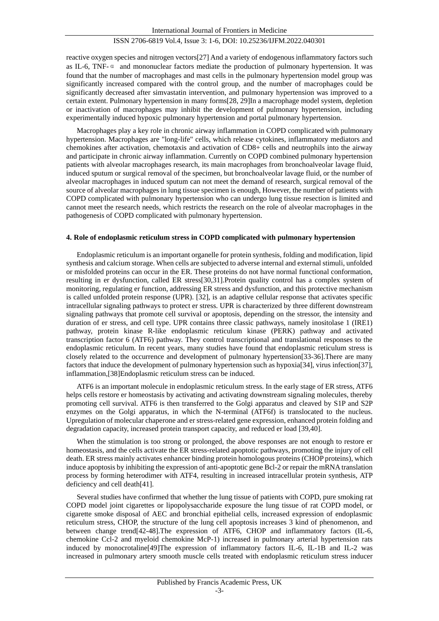reactive oxygen species and nitrogen vectors[27] And a variety of endogenous inflammatory factors such as IL-6, TNF-α and mononuclear factors mediate the production of pulmonary hypertension. It was found that the number of macrophages and mast cells in the pulmonary hypertension model group was significantly increased compared with the control group, and the number of macrophages could be significantly decreased after simvastatin intervention, and pulmonary hypertension was improved to a certain extent. Pulmonary hypertension in many forms[28, 29]In a macrophage model system, depletion or inactivation of macrophages may inhibit the development of pulmonary hypertension, including experimentally induced hypoxic pulmonary hypertension and portal pulmonary hypertension.

Macrophages play a key role in chronic airway inflammation in COPD complicated with pulmonary hypertension. Macrophages are "long-life" cells, which release cytokines, inflammatory mediators and chemokines after activation, chemotaxis and activation of CD8+ cells and neutrophils into the airway and participate in chronic airway inflammation. Currently on COPD combined pulmonary hypertension patients with alveolar macrophages research, its main macrophages from bronchoalveolar lavage fluid, induced sputum or surgical removal of the specimen, but bronchoalveolar lavage fluid, or the number of alveolar macrophages in induced sputum can not meet the demand of research, surgical removal of the source of alveolar macrophages in lung tissue specimen is enough, However, the number of patients with COPD complicated with pulmonary hypertension who can undergo lung tissue resection is limited and cannot meet the research needs, which restricts the research on the role of alveolar macrophages in the pathogenesis of COPD complicated with pulmonary hypertension.

#### **4. Role of endoplasmic reticulum stress in COPD complicated with pulmonary hypertension**

Endoplasmic reticulum is an important organelle for protein synthesis, folding and modification, lipid synthesis and calcium storage. When cells are subjected to adverse internal and external stimuli, unfolded or misfolded proteins can occur in the ER. These proteins do not have normal functional conformation, resulting in er dysfunction, called ER stress[30,31].Protein quality control has a complex system of monitoring, regulating er function, addressing ER stress and dysfunction, and this protective mechanism is called unfolded protein response (UPR). [32], is an adaptive cellular response that activates specific intracellular signaling pathways to protect er stress. UPR is characterized by three different downstream signaling pathways that promote cell survival or apoptosis, depending on the stressor, the intensity and duration of er stress, and cell type. UPR contains three classic pathways, namely inositolase 1 (IRE1) pathway, protein kinase R-like endoplasmic reticulum kinase (PERK) pathway and activated transcription factor 6 (ATF6) pathway. They control transcriptional and translational responses to the endoplasmic reticulum. In recent years, many studies have found that endoplasmic reticulum stress is closely related to the occurrence and development of pulmonary hypertension[33-36].There are many factors that induce the development of pulmonary hypertension such as hypoxia[34], virus infection[37], inflammation,[38]Endoplasmic reticulum stress can be induced.

ATF6 is an important molecule in endoplasmic reticulum stress. In the early stage of ER stress, ATF6 helps cells restore er homeostasis by activating and activating downstream signaling molecules, thereby promoting cell survival. ATF6 is then transferred to the Golgi apparatus and cleaved by S1P and S2P enzymes on the Golgi apparatus, in which the N-terminal (ATF6f) is translocated to the nucleus. Upregulation of molecular chaperone and er stress-related gene expression, enhanced protein folding and degradation capacity, increased protein transport capacity, and reduced er load [39,40].

When the stimulation is too strong or prolonged, the above responses are not enough to restore er homeostasis, and the cells activate the ER stress-related apoptotic pathways, promoting the injury of cell death. ER stress mainly activates enhancer binding protein homologous proteins (CHOP proteins), which induce apoptosis by inhibiting the expression of anti-apoptotic gene Bcl-2 or repair the mRNA translation process by forming heterodimer with ATF4, resulting in increased intracellular protein synthesis, ATP deficiency and cell death[41].

Several studies have confirmed that whether the lung tissue of patients with COPD, pure smoking rat COPD model joint cigarettes or lipopolysaccharide exposure the lung tissue of rat COPD model, or cigarette smoke disposal of AEC and bronchial epithelial cells, increased expression of endoplasmic reticulum stress, CHOP, the structure of the lung cell apoptosis increases 3 kind of phenomenon, and between change trend[42-48].The expression of ATF6, CHOP and inflammatory factors (IL-6, chemokine Ccl-2 and myeloid chemokine McP-1) increased in pulmonary arterial hypertension rats induced by monocrotaline[49]The expression of inflammatory factors IL-6, IL-1B and IL-2 was increased in pulmonary artery smooth muscle cells treated with endoplasmic reticulum stress inducer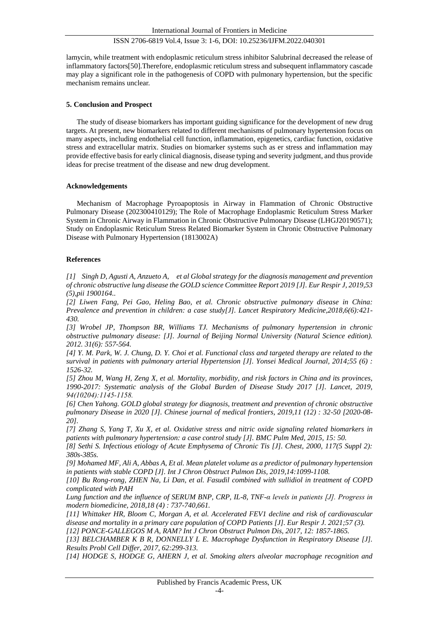lamycin, while treatment with endoplasmic reticulum stress inhibitor Salubrinal decreased the release of inflammatory factors[50].Therefore, endoplasmic reticulum stress and subsequent inflammatory cascade may play a significant role in the pathogenesis of COPD with pulmonary hypertension, but the specific mechanism remains unclear.

#### **5. Conclusion and Prospect**

The study of disease biomarkers has important guiding significance for the development of new drug targets. At present, new biomarkers related to different mechanisms of pulmonary hypertension focus on many aspects, including endothelial cell function, inflammation, epigenetics, cardiac function, oxidative stress and extracellular matrix. Studies on biomarker systems such as er stress and inflammation may provide effective basis for early clinical diagnosis, disease typing and severity judgment, and thus provide ideas for precise treatment of the disease and new drug development.

#### **Acknowledgements**

Mechanism of Macrophage Pyroapoptosis in Airway in Flammation of Chronic Obstructive Pulmonary Disease (202300410129); The Role of Macrophage Endoplasmic Reticulum Stress Marker System in Chronic Airway in Flammation in Chronic Obstructive Pulmonary Disease (LHGJ20190571); Study on Endoplasmic Reticulum Stress Related Biomarker System in Chronic Obstructive Pulmonary Disease with Pulmonary Hypertension (1813002A)

#### **References**

*[1] Singh D, Agusti A, Anzueto A, et al Global strategy for the diagnosis management and prevention of chronic obstructive lung disease the GOLD science Committee Report 2019 [J]. Eur Respir J, 2019,53 (5),pii 1900164..* 

*[2] Liwen Fang, Pei Gao, Heling Bao, et al. Chronic obstructive pulmonary disease in China: Prevalence and prevention in children: a case study[J]. Lancet Respiratory Medicine,2018,6(6):421- 430.*

*[3] Wrobel JP, Thompson BR, Williams TJ. Mechanisms of pulmonary hypertension in chronic obstructive pulmonary disease: [J]. Journal of Beijing Normal University (Natural Science edition). 2012. 31(6): 557-564.*

*[4] Y. M. Park, W. J. Chung, D. Y. Choi et al. Functional class and targeted therapy are related to the survival in patients with pulmonary arterial Hypertension [J]. Yonsei Medical Journal, 2014;55 (6) : 1526-32.*

*[5] Zhou M, Wang H, Zeng X, et al. Mortality, morbidity, and risk factors in China and its provinces, 1990-2017: Systematic analysis of the Global Burden of Disease Study 2017 [J]. Lancet, 2019, 94(10204):1145‐1158.*

*[6] Chen Yahong. GOLD global strategy for diagnosis, treatment and prevention of chronic obstructive pulmonary Disease in 2020 [J]. Chinese journal of medical frontiers, 2019,11 (12) : 32-50 [2020-08- 20].*

*[7] Zhang S, Yang T, Xu X, et al. Oxidative stress and nitric oxide signaling related biomarkers in patients with pulmonary hypertension: a case control study [J]. BMC Pulm Med, 2015, 15: 50.*

*[8] Sethi S. Infectious etiology of Acute Emphysema of Chronic Tis [J]. Chest, 2000, 117(5 Suppl 2): 380s-385s.*

*[9] Mohamed MF, Ali A, Abbas A, Et al. Mean platelet volume as a predictor of pulmonary hypertension in patients with stable COPD [J]. Int J Chron Obstruct Pulmon Dis, 2019,14:1099-1108.*

*[10] Bu Rong-rong, ZHEN Na, Li Dan, et al. Fasudil combined with sullidiol in treatment of COPD complicated with PAH*

*Lung function and the influence of SERUM BNP, CRP, IL-8, TNF-α levels in patients [J]. Progress in modern biomedicine, 2018,18 (4) : 737-740,661.*

*[11] Whittaker HR, Bloom C, Morgan A, et al. Accelerated FEV1 decline and risk of cardiovascular disease and mortality in a primary care population of COPD Patients [J]. Eur Respir J. 2021;57 (3).*

*[12] PONCE-GALLEGOS M A, RAM? Int J Chron Obstruct Pulmon Dis, 2017, 12: 1857-1865.*

*[13] BELCHAMBER K B R, DONNELLY L E. Macrophage Dysfunction in Respiratory Disease [J]. Results Probl Cell Differ, 2017, 62:299-313.*

*[14] HODGE S, HODGE G, AHERN J, et al. Smoking alters alveolar macrophage recognition and*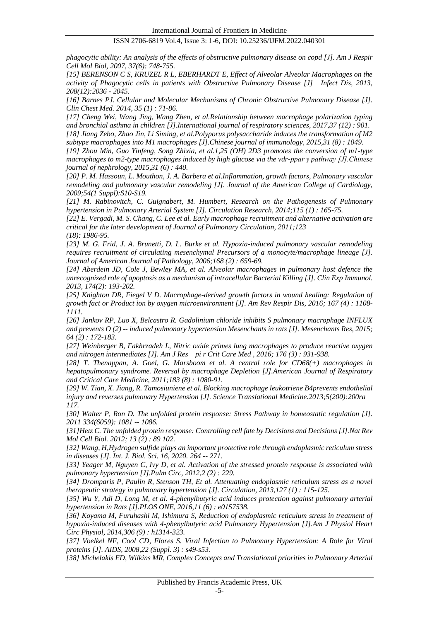*phagocytic ability: An analysis of the effects of obstructive pulmonary disease on copd [J]. Am J Respir Cell Mol Biol, 2007, 37(6): 748-755.*

*[15] BERENSON C S, KRUZEL R L, EBERHARDT E, Effect of Alveolar Alveolar Macrophages on the activity of Phagocytic cells in patients with Obstructive Pulmonary Disease [J] Infect Dis, 2013, 208(12):2036 - 2045.*

*[16] Barnes PJ. Cellular and Molecular Mechanisms of Chronic Obstructive Pulmonary Disease [J]. Clin Chest Med. 2014, 35 (1) : 71-86.*

*[17] Cheng Wei, Wang Jing, Wang Zhen, et al.Relationship between macrophage polarization typing and bronchial asthma in children [J].International journal of respiratory sciences, 2017,37 (12) : 901. [18] Jiang Zebo, Zhao Jin, Li Siming, et al.Polyporus polysaccharide induces the transformation of M2 subtype macrophages into M1 macrophages [J].Chinese journal of immunology, 2015,31 (8) : 1049.*

*[19] Zhou Min, Guo Yinfeng, Song Zhixia, et al.1,25 (OH) 2D3 promotes the conversion of m1-type macrophages to m2-type macrophages induced by high glucose via the vdr-ppar γ pathway [J].Chinese journal of nephrology, 2015,31 (6) : 440.*

*[20] P. M. Hassoun, L. Mouthon, J. A. Barbera et al.Inflammation, growth factors, Pulmonary vascular remodeling and pulmonary vascular remodeling [J]. Journal of the American College of Cardiology, 2009;54(1 Suppl):S10-S19.*

*[21] M. Rabinovitch, C. Guignabert, M. Humbert, Research on the Pathogenesis of Pulmonary hypertension in Pulmonary Arterial System [J]. Circulation Research, 2014;115 (1) : 165-75.*

*[22] E. Vergadi, M. S. Chang, C. Lee et al. Early macrophage recruitment and alternative activation are critical for the later development of Journal of Pulmonary Circulation, 2011;123 (18): 1986-95.*

*[23] M. G. Frid, J. A. Brunetti, D. L. Burke et al. Hypoxia-induced pulmonary vascular remodeling requires recruitment of circulating mesenchymal Precursors of a monocyte/macrophage lineage [J]. Journal of American Journal of Pathology, 2006;168 (2) : 659-69.*

*[24] Aberdein JD, Cole J, Bewley MA, et al. Alveolar macrophages in pulmonary host defence the unrecognized role of apoptosis as a mechanism of intracellular Bacterial Killing [J]. Clin Exp Immunol. 2013, 174(2): 193-202.*

*[25] Knighton DR, Fiegel V D. Macrophage-derived growth factors in wound healing: Regulation of growth fact or Product ion by oxygen microenvironment [J]. Am Rev Respir Dis, 2016; 167 (4) : 1108- 1111.*

*[26] Jankov RP, Luo X, Belcastro R. Gadolinium chloride inhibits S pulmonary macrophage INFLUX and prevents O (2) -- induced pulmonary hypertension Mesenchants in rats [J]. Mesenchants Res, 2015; 64 (2) : 172-183.*

*[27] Weinberger B, Fakhrzadeh L, Nitric oxide primes lung macrophages to produce reactive oxygen and nitrogen intermediates [J]. Am J Res pi r Crit Care Med , 2016; 176 (3) : 931-938.*

*[28] T. Thenappan, A. Goel, G. Marsboom et al. A central role for CD68(+) macrophages in hepatopulmonary syndrome. Reversal by macrophage Depletion [J].American Journal of Respiratory and Critical Care Medicine, 2011;183 (8) : 1080-91.*

*[29] W. Tian, X. Jiang, R. Tamosiuniene et al. Blocking macrophage leukotriene B4prevents endothelial injury and reverses pulmonary Hypertension [J]. Science Translational Medicine.2013;5(200):200ra 117.*

*[30] Walter P, Ron D. The unfolded protein response: Stress Pathway in homeostatic regulation [J]. 2011 334(6059): 1081 -- 1086.*

*[31]Hetz C. The unfolded protein response: Controlling cell fate by Decisions and Decisions [J].Nat Rev Mol Cell Biol. 2012; 13 (2) : 89 102.*

*[32] Wang, H,Hydrogen sulfide plays an important protective role through endoplasmic reticulum stress in diseases [J]. Int. J. Biol. Sci. 16, 2020. 264 -- 271.*

*[33] Yeager M, Nguyen C, Ivy D, et al. Activation of the stressed protein response is associated with pulmonary hypertension [J].Pulm Circ, 2012,2 (2) : 229.*

*[34] Dromparis P, Paulin R, Stenson TH, Et al. Attenuating endoplasmic reticulum stress as a novel therapeutic strategy in pulmonary hypertension [J]. Circulation, 2013,127 (1) : 115-125.*

*[35] Wu Y, Adi D, Long M, et al. 4-phenylbutyric acid induces protection against pulmonary arterial hypertension in Rats [J].PLOS ONE, 2016,11 (6) : e0157538.*

*[36] Koyama M, Furuhashi M, Ishimura S, Reduction of endoplasmic reticulum stress in treatment of hypoxia-induced diseases with 4-phenylbutyric acid Pulmonary Hypertension [J].Am J Physiol Heart Circ Physiol, 2014,306 (9) : h1314-323.*

*[37] Voelkel NF, Cool CD, Flores S. Viral Infection to Pulmonary Hypertension: A Role for Viral proteins [J]. AIDS, 2008,22 (Suppl. 3) : s49-s53.*

*[38] Michelakis ED, Wilkins MR, Complex Concepts and Translational priorities in Pulmonary Arterial*